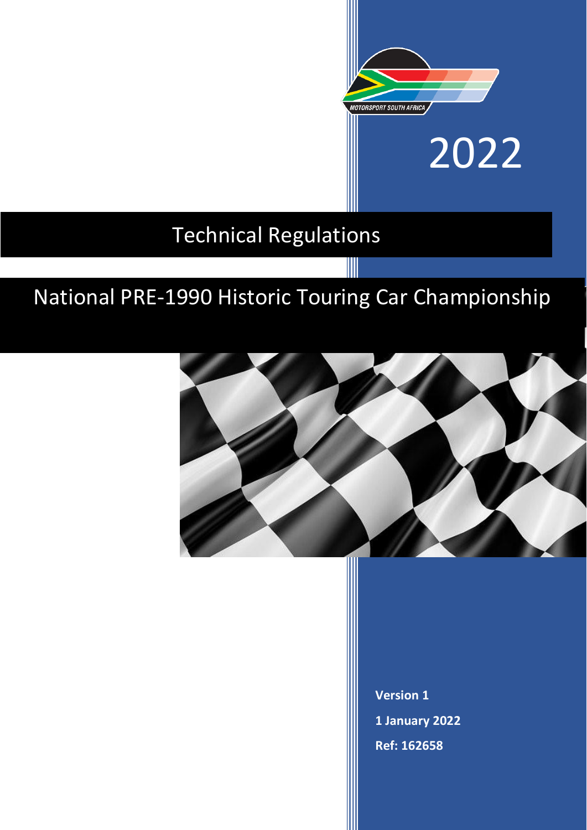

2022

# Technical Regulations

# National PRE-1990 Historic Touring Car Championship



**Version 1 1 January 2022 Ref: 162658**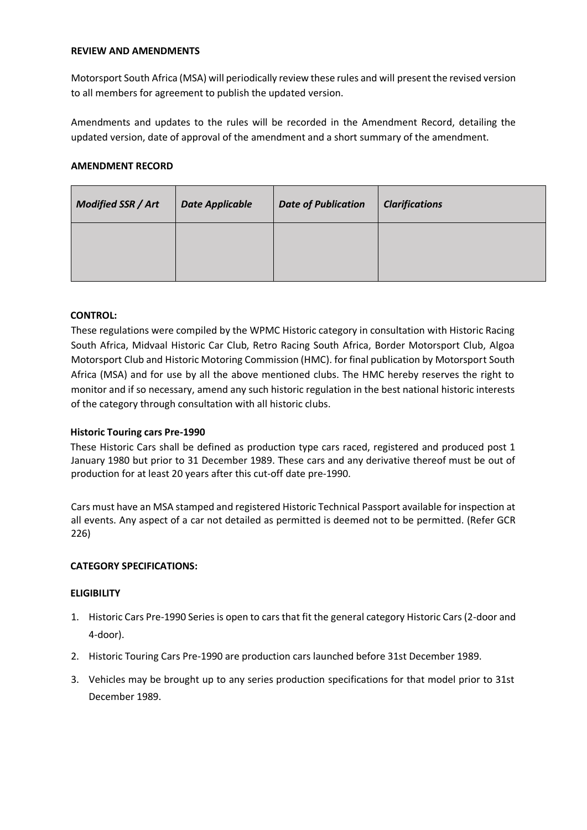## **REVIEW AND AMENDMENTS**

Motorsport South Africa (MSA) will periodically review these rules and will present the revised version to all members for agreement to publish the updated version.

Amendments and updates to the rules will be recorded in the Amendment Record, detailing the updated version, date of approval of the amendment and a short summary of the amendment.

## **AMENDMENT RECORD**

| Modified SSR / Art | <b>Date Applicable</b> | <b>Date of Publication</b> | <b>Clarifications</b> |
|--------------------|------------------------|----------------------------|-----------------------|
|                    |                        |                            |                       |
|                    |                        |                            |                       |

## **CONTROL:**

These regulations were compiled by the WPMC Historic category in consultation with Historic Racing South Africa, Midvaal Historic Car Club, Retro Racing South Africa, Border Motorsport Club, Algoa Motorsport Club and Historic Motoring Commission (HMC). for final publication by Motorsport South Africa (MSA) and for use by all the above mentioned clubs. The HMC hereby reserves the right to monitor and if so necessary, amend any such historic regulation in the best national historic interests of the category through consultation with all historic clubs.

## **Historic Touring cars Pre-1990**

These Historic Cars shall be defined as production type cars raced, registered and produced post 1 January 1980 but prior to 31 December 1989. These cars and any derivative thereof must be out of production for at least 20 years after this cut-off date pre-1990.

Cars must have an MSA stamped and registered Historic Technical Passport available for inspection at all events. Any aspect of a car not detailed as permitted is deemed not to be permitted. (Refer GCR 226)

## **CATEGORY SPECIFICATIONS:**

## **ELIGIBILITY**

- 1. Historic Cars Pre-1990 Series is open to cars that fit the general category Historic Cars (2-door and 4-door).
- 2. Historic Touring Cars Pre-1990 are production cars launched before 31st December 1989.
- 3. Vehicles may be brought up to any series production specifications for that model prior to 31st December 1989.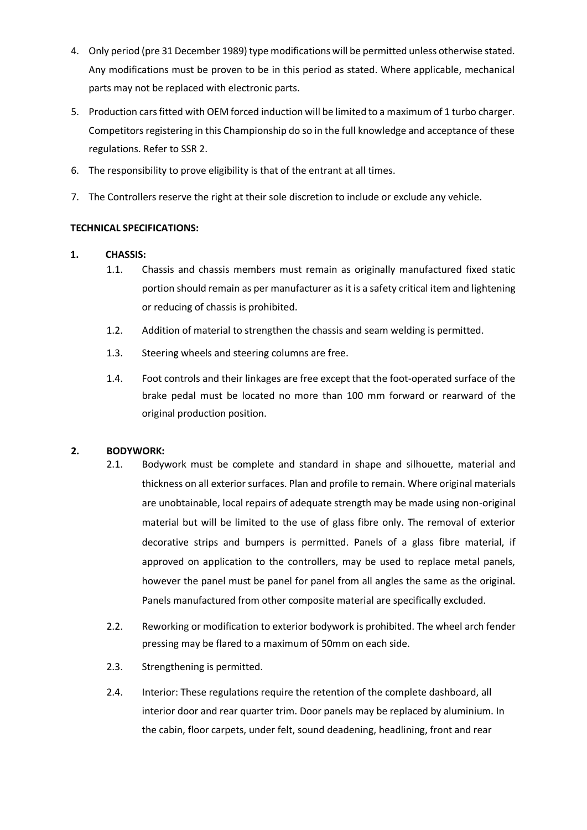- 4. Only period (pre 31 December 1989) type modifications will be permitted unless otherwise stated. Any modifications must be proven to be in this period as stated. Where applicable, mechanical parts may not be replaced with electronic parts.
- 5. Production cars fitted with OEM forced induction will be limited to a maximum of 1 turbo charger. Competitors registering in this Championship do so in the full knowledge and acceptance of these regulations. Refer to SSR 2.
- 6. The responsibility to prove eligibility is that of the entrant at all times.
- 7. The Controllers reserve the right at their sole discretion to include or exclude any vehicle.

# **TECHNICAL SPECIFICATIONS:**

# **1. CHASSIS:**

- 1.1. Chassis and chassis members must remain as originally manufactured fixed static portion should remain as per manufacturer as it is a safety critical item and lightening or reducing of chassis is prohibited.
- 1.2. Addition of material to strengthen the chassis and seam welding is permitted.
- 1.3. Steering wheels and steering columns are free.
- 1.4. Foot controls and their linkages are free except that the foot-operated surface of the brake pedal must be located no more than 100 mm forward or rearward of the original production position.

# **2. BODYWORK:**

- 2.1. Bodywork must be complete and standard in shape and silhouette, material and thickness on all exterior surfaces. Plan and profile to remain. Where original materials are unobtainable, local repairs of adequate strength may be made using non-original material but will be limited to the use of glass fibre only. The removal of exterior decorative strips and bumpers is permitted. Panels of a glass fibre material, if approved on application to the controllers, may be used to replace metal panels, however the panel must be panel for panel from all angles the same as the original. Panels manufactured from other composite material are specifically excluded.
- 2.2. Reworking or modification to exterior bodywork is prohibited. The wheel arch fender pressing may be flared to a maximum of 50mm on each side.
- 2.3. Strengthening is permitted.
- 2.4. Interior: These regulations require the retention of the complete dashboard, all interior door and rear quarter trim. Door panels may be replaced by aluminium. In the cabin, floor carpets, under felt, sound deadening, headlining, front and rear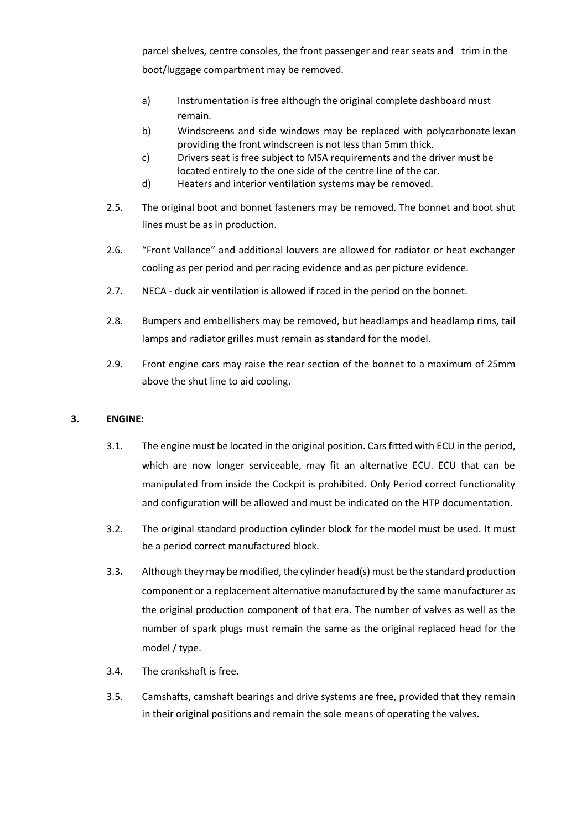parcel shelves, centre consoles, the front passenger and rear seats and trim in the boot/luggage compartment may be removed.

- a) Instrumentation is free although the original complete dashboard must remain.
- b) Windscreens and side windows may be replaced with polycarbonate lexan providing the front windscreen is not less than 5mm thick.
- c) Drivers seat is free subject to MSA requirements and the driver must be located entirely to the one side of the centre line of the car.
- d) Heaters and interior ventilation systems may be removed.
- 2.5. The original boot and bonnet fasteners may be removed. The bonnet and boot shut lines must be as in production.
- 2.6. "Front Vallance" and additional louvers are allowed for radiator or heat exchanger cooling as per period and per racing evidence and as per picture evidence.
- 2.7. NECA duck air ventilation is allowed if raced in the period on the bonnet.
- 2.8. Bumpers and embellishers may be removed, but headlamps and headlamp rims, tail lamps and radiator grilles must remain as standard for the model.
- 2.9. Front engine cars may raise the rear section of the bonnet to a maximum of 25mm above the shut line to aid cooling.

# **3. ENGINE:**

- 3.1. The engine must be located in the original position. Cars fitted with ECU in the period, which are now longer serviceable, may fit an alternative ECU. ECU that can be manipulated from inside the Cockpit is prohibited. Only Period correct functionality and configuration will be allowed and must be indicated on the HTP documentation.
- 3.2. The original standard production cylinder block for the model must be used. It must be a period correct manufactured block.
- 3.3**.** Although they may be modified, the cylinder head(s) must be the standard production component or a replacement alternative manufactured by the same manufacturer as the original production component of that era. The number of valves as well as the number of spark plugs must remain the same as the original replaced head for the model / type.
- 3.4. The crankshaft is free.
- 3.5. Camshafts, camshaft bearings and drive systems are free, provided that they remain in their original positions and remain the sole means of operating the valves.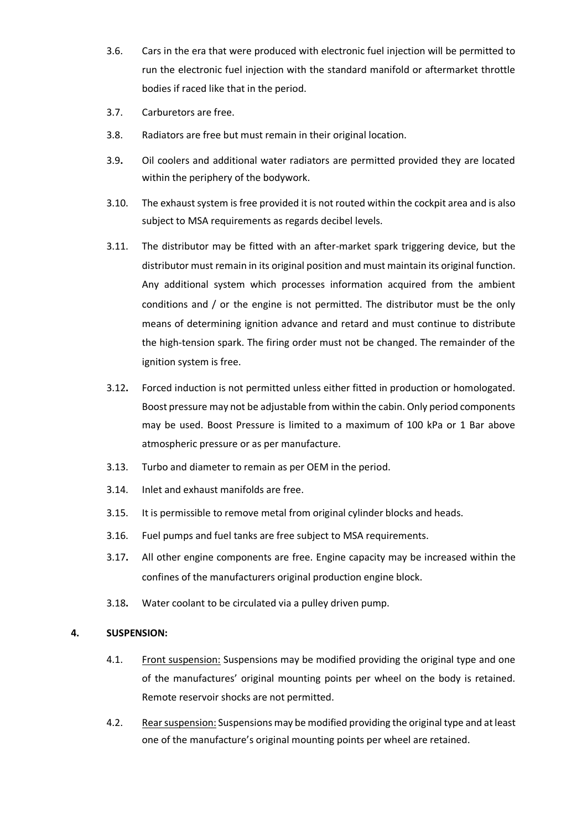- 3.6. Cars in the era that were produced with electronic fuel injection will be permitted to run the electronic fuel injection with the standard manifold or aftermarket throttle bodies if raced like that in the period.
- 3.7. Carburetors are free.
- 3.8. Radiators are free but must remain in their original location.
- 3.9**.** Oil coolers and additional water radiators are permitted provided they are located within the periphery of the bodywork.
- 3.10. The exhaust system is free provided it is not routed within the cockpit area and is also subject to MSA requirements as regards decibel levels.
- 3.11. The distributor may be fitted with an after-market spark triggering device, but the distributor must remain in its original position and must maintain its original function. Any additional system which processes information acquired from the ambient conditions and / or the engine is not permitted. The distributor must be the only means of determining ignition advance and retard and must continue to distribute the high-tension spark. The firing order must not be changed. The remainder of the ignition system is free.
- 3.12**.** Forced induction is not permitted unless either fitted in production or homologated. Boost pressure may not be adjustable from within the cabin. Only period components may be used. Boost Pressure is limited to a maximum of 100 kPa or 1 Bar above atmospheric pressure or as per manufacture.
- 3.13. Turbo and diameter to remain as per OEM in the period.
- 3.14. Inlet and exhaust manifolds are free.
- 3.15. It is permissible to remove metal from original cylinder blocks and heads.
- 3.16. Fuel pumps and fuel tanks are free subject to MSA requirements.
- 3.17**.** All other engine components are free. Engine capacity may be increased within the confines of the manufacturers original production engine block.
- 3.18**.** Water coolant to be circulated via a pulley driven pump.

#### **4. SUSPENSION:**

- 4.1. Front suspension: Suspensions may be modified providing the original type and one of the manufactures' original mounting points per wheel on the body is retained. Remote reservoir shocks are not permitted.
- 4.2. Rear suspension: Suspensions may be modified providing the original type and at least one of the manufacture's original mounting points per wheel are retained.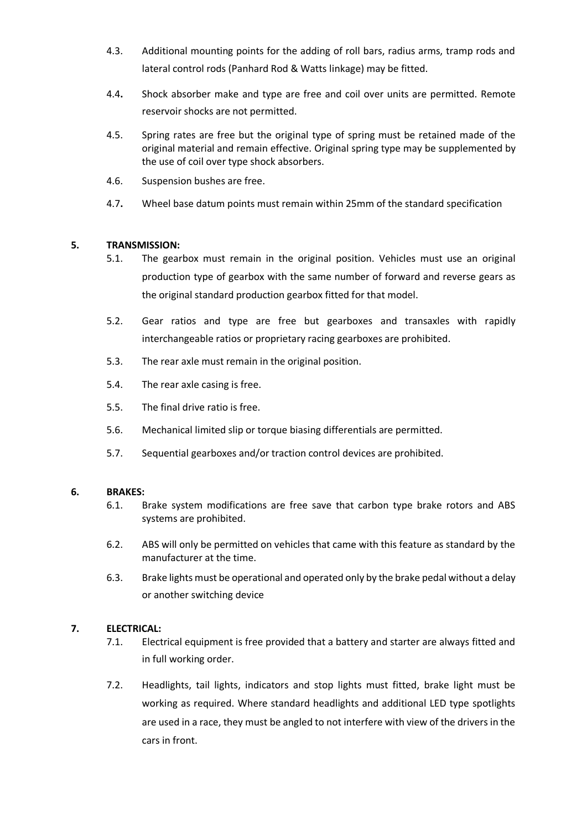- 4.3. Additional mounting points for the adding of roll bars, radius arms, tramp rods and lateral control rods (Panhard Rod & Watts linkage) may be fitted.
- 4.4**.** Shock absorber make and type are free and coil over units are permitted. Remote reservoir shocks are not permitted.
- 4.5. Spring rates are free but the original type of spring must be retained made of the original material and remain effective. Original spring type may be supplemented by the use of coil over type shock absorbers.
- 4.6. Suspension bushes are free.
- 4.7**.** Wheel base datum points must remain within 25mm of the standard specification

## **5. TRANSMISSION:**

- 5.1. The gearbox must remain in the original position. Vehicles must use an original production type of gearbox with the same number of forward and reverse gears as the original standard production gearbox fitted for that model.
- 5.2. Gear ratios and type are free but gearboxes and transaxles with rapidly interchangeable ratios or proprietary racing gearboxes are prohibited.
- 5.3. The rear axle must remain in the original position.
- 5.4. The rear axle casing is free.
- 5.5. The final drive ratio is free.
- 5.6. Mechanical limited slip or torque biasing differentials are permitted.
- 5.7. Sequential gearboxes and/or traction control devices are prohibited.

## **6. BRAKES:**

- 6.1. Brake system modifications are free save that carbon type brake rotors and ABS systems are prohibited.
- 6.2. ABS will only be permitted on vehicles that came with this feature as standard by the manufacturer at the time.
- 6.3. Brake lights must be operational and operated only by the brake pedal without a delay or another switching device

# **7. ELECTRICAL:**

- 7.1. Electrical equipment is free provided that a battery and starter are always fitted and in full working order.
- 7.2. Headlights, tail lights, indicators and stop lights must fitted, brake light must be working as required. Where standard headlights and additional LED type spotlights are used in a race, they must be angled to not interfere with view of the drivers in the cars in front.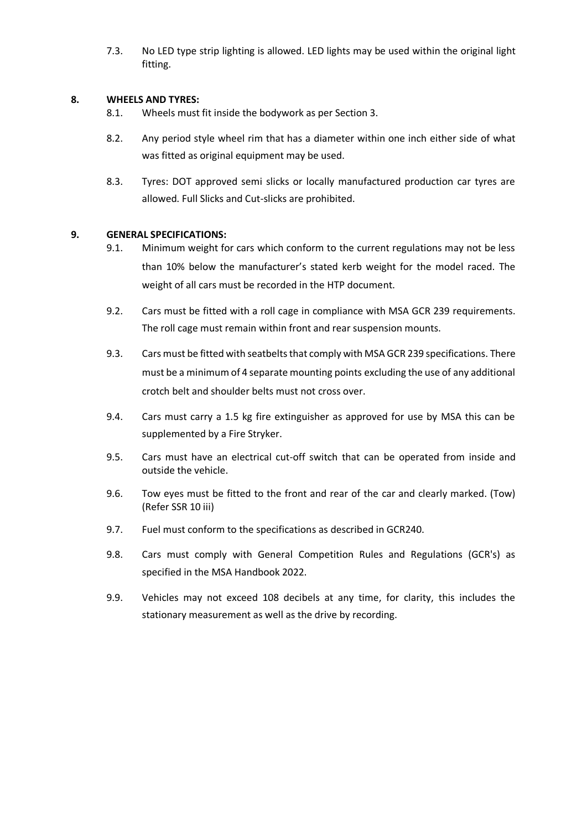7.3. No LED type strip lighting is allowed. LED lights may be used within the original light fitting.

## **8. WHEELS AND TYRES:**

- 8.1. Wheels must fit inside the bodywork as per Section 3.
- 8.2. Any period style wheel rim that has a diameter within one inch either side of what was fitted as original equipment may be used.
- 8.3. Tyres: DOT approved semi slicks or locally manufactured production car tyres are allowed. Full Slicks and Cut-slicks are prohibited.

#### **9. GENERAL SPECIFICATIONS:**

- 9.1. Minimum weight for cars which conform to the current regulations may not be less than 10% below the manufacturer's stated kerb weight for the model raced. The weight of all cars must be recorded in the HTP document.
- 9.2. Cars must be fitted with a roll cage in compliance with MSA GCR 239 requirements. The roll cage must remain within front and rear suspension mounts.
- 9.3. Cars must be fitted with seatbelts that comply with MSA GCR 239 specifications. There must be a minimum of 4 separate mounting points excluding the use of any additional crotch belt and shoulder belts must not cross over.
- 9.4. Cars must carry a 1.5 kg fire extinguisher as approved for use by MSA this can be supplemented by a Fire Stryker.
- 9.5. Cars must have an electrical cut-off switch that can be operated from inside and outside the vehicle.
- 9.6. Tow eyes must be fitted to the front and rear of the car and clearly marked. (Tow) (Refer SSR 10 iii)
- 9.7. Fuel must conform to the specifications as described in GCR240.
- 9.8. Cars must comply with General Competition Rules and Regulations (GCR's) as specified in the MSA Handbook 2022.
- 9.9. Vehicles may not exceed 108 decibels at any time, for clarity, this includes the stationary measurement as well as the drive by recording.